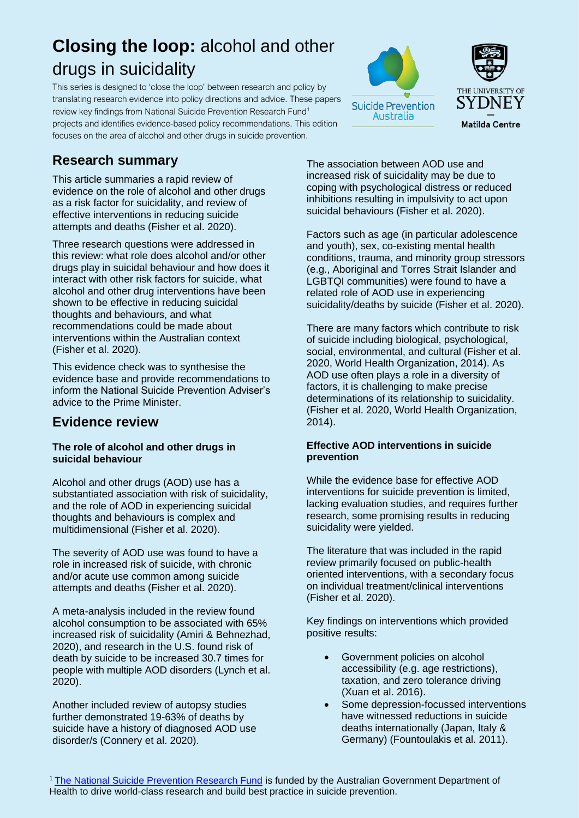# **Closing the loop:** alcohol and other drugs in suicidality

This series is designed to 'close the loop' between research and policy by translating research evidence into policy directions and advice. These papers review key findings from National Suicide Prevention Research Fund<sup>1</sup> projects and identifies evidence-based policy recommendations. This edition focuses on the area of alcohol and other drugs in suicide prevention.

# **Research summary**

This article summaries a rapid review of evidence on the role of alcohol and other drugs as a risk factor for suicidality, and review of effective interventions in reducing suicide attempts and deaths (Fisher et al. 2020).

Three research questions were addressed in this review: what role does alcohol and/or other drugs play in suicidal behaviour and how does it interact with other risk factors for suicide, what alcohol and other drug interventions have been shown to be effective in reducing suicidal thoughts and behaviours, and what recommendations could be made about interventions within the Australian context (Fisher et al. 2020).

This evidence check was to synthesise the evidence base and provide recommendations to inform the National Suicide Prevention Adviser's advice to the Prime Minister.

## **Evidence review**

#### **The role of alcohol and other drugs in suicidal behaviour**

Alcohol and other drugs (AOD) use has a substantiated association with risk of suicidality, and the role of AOD in experiencing suicidal thoughts and behaviours is complex and multidimensional (Fisher et al. 2020).

The severity of AOD use was found to have a role in increased risk of suicide, with chronic and/or acute use common among suicide attempts and deaths (Fisher et al. 2020).

A meta-analysis included in the review found alcohol consumption to be associated with 65% increased risk of suicidality (Amiri & Behnezhad, 2020), and research in the U.S. found risk of death by suicide to be increased 30.7 times for people with multiple AOD disorders (Lynch et al. 2020).

Another included review of autopsy studies further demonstrated 19-63% of deaths by suicide have a history of diagnosed AOD use disorder/s (Connery et al. 2020).

The association between AOD use and increased risk of suicidality may be due to coping with psychological distress or reduced inhibitions resulting in impulsivity to act upon suicidal behaviours (Fisher et al. 2020).

Factors such as age (in particular adolescence and youth), sex, co-existing mental health conditions, trauma, and minority group stressors (e.g., Aboriginal and Torres Strait Islander and LGBTQI communities) were found to have a related role of AOD use in experiencing suicidality/deaths by suicide (Fisher et al. 2020).

There are many factors which contribute to risk of suicide including biological, psychological, social, environmental, and cultural (Fisher et al. 2020, World Health Organization, 2014). As AOD use often plays a role in a diversity of factors, it is challenging to make precise determinations of its relationship to suicidality. (Fisher et al. 2020, World Health Organization, 2014).

#### **Effective AOD interventions in suicide prevention**

While the evidence base for effective AOD interventions for suicide prevention is limited, lacking evaluation studies, and requires further research, some promising results in reducing suicidality were yielded.

The literature that was included in the rapid review primarily focused on public-health oriented interventions, with a secondary focus on individual treatment/clinical interventions (Fisher et al. 2020).

Key findings on interventions which provided positive results:

- Government policies on alcohol accessibility (e.g. age restrictions), taxation, and zero tolerance driving (Xuan et al. 2016).
- Some depression-focussed interventions have witnessed reductions in suicide deaths internationally (Japan, Italy & Germany) (Fountoulakis et al. 2011).



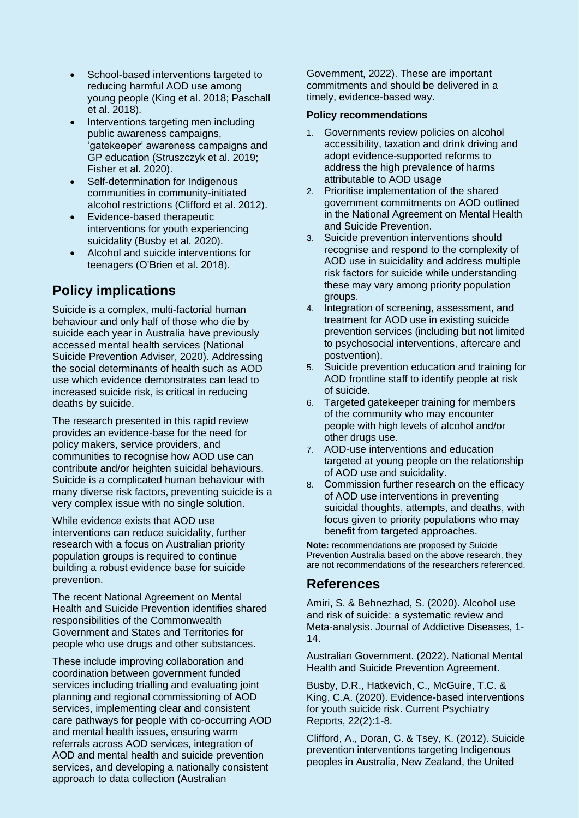- School-based interventions targeted to reducing harmful AOD use among young people (King et al. 2018; Paschall et al. 2018).
- Interventions targeting men including public awareness campaigns, 'gatekeeper' awareness campaigns and GP education (Struszczyk et al. 2019; Fisher et al. 2020).
- Self-determination for Indigenous communities in community-initiated alcohol restrictions (Clifford et al. 2012).
- Evidence-based therapeutic interventions for youth experiencing suicidality (Busby et al. 2020).
- Alcohol and suicide interventions for teenagers (O'Brien et al. 2018).

# **Policy implications**

Suicide is a complex, multi-factorial human behaviour and only half of those who die by suicide each year in Australia have previously accessed mental health services (National Suicide Prevention Adviser, 2020). Addressing the social determinants of health such as AOD use which evidence demonstrates can lead to increased suicide risk, is critical in reducing deaths by suicide.

The research presented in this rapid review provides an evidence-base for the need for policy makers, service providers, and communities to recognise how AOD use can contribute and/or heighten suicidal behaviours. Suicide is a complicated human behaviour with many diverse risk factors, preventing suicide is a very complex issue with no single solution.

While evidence exists that AOD use interventions can reduce suicidality, further research with a focus on Australian priority population groups is required to continue building a robust evidence base for suicide prevention.

The recent National Agreement on Mental Health and Suicide Prevention identifies shared responsibilities of the Commonwealth Government and States and Territories for people who use drugs and other substances.

These include improving collaboration and coordination between government funded services including trialling and evaluating joint planning and regional commissioning of AOD services, implementing clear and consistent care pathways for people with co-occurring AOD and mental health issues, ensuring warm referrals across AOD services, integration of AOD and mental health and suicide prevention services, and developing a nationally consistent approach to data collection (Australian

Government, 2022). These are important commitments and should be delivered in a timely, evidence-based way.

#### **Policy recommendations**

- 1. Governments review policies on alcohol accessibility, taxation and drink driving and adopt evidence-supported reforms to address the high prevalence of harms attributable to AOD usage
- 2. Prioritise implementation of the shared government commitments on AOD outlined in the National Agreement on Mental Health and Suicide Prevention.
- 3. Suicide prevention interventions should recognise and respond to the complexity of AOD use in suicidality and address multiple risk factors for suicide while understanding these may vary among priority population groups.
- 4. Integration of screening, assessment, and treatment for AOD use in existing suicide prevention services (including but not limited to psychosocial interventions, aftercare and postvention).
- 5. Suicide prevention education and training for AOD frontline staff to identify people at risk of suicide.
- 6. Targeted gatekeeper training for members of the community who may encounter people with high levels of alcohol and/or other drugs use.
- 7. AOD-use interventions and education targeted at young people on the relationship of AOD use and suicidality.
- 8. Commission further research on the efficacy of AOD use interventions in preventing suicidal thoughts, attempts, and deaths, with focus given to priority populations who may benefit from targeted approaches.

**Note:** recommendations are proposed by Suicide Prevention Australia based on the above research, they are not recommendations of the researchers referenced.

### **References**

Amiri, S. & Behnezhad, S. (2020). Alcohol use and risk of suicide: a systematic review and Meta-analysis. Journal of Addictive Diseases, 1- 14.

Australian Government. (2022). National Mental Health and Suicide Prevention Agreement.

Busby, D.R., Hatkevich, C., McGuire, T.C. & King, C.A. (2020). Evidence-based interventions for youth suicide risk. Current Psychiatry Reports, 22(2):1-8.

Clifford, A., Doran, C. & Tsey, K. (2012). Suicide prevention interventions targeting Indigenous peoples in Australia, New Zealand, the United